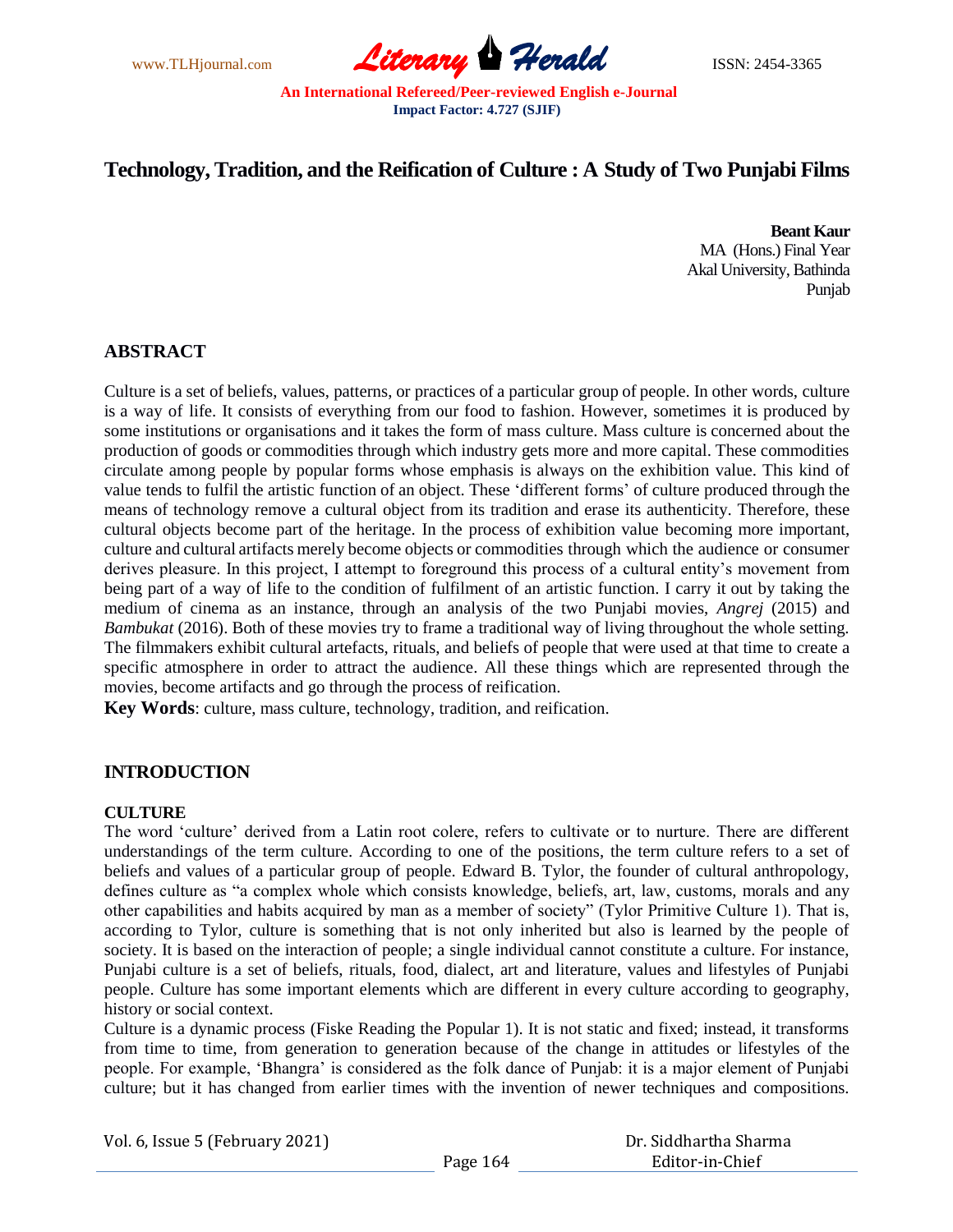

# **Technology, Tradition, and the Reification of Culture : A Study of Two Punjabi Films**

**Beant Kaur** MA (Hons.) Final Year Akal University, Bathinda Punjab

# **ABSTRACT**

Culture is a set of beliefs, values, patterns, or practices of a particular group of people. In other words, culture is a way of life. It consists of everything from our food to fashion. However, sometimes it is produced by some institutions or organisations and it takes the form of mass culture. Mass culture is concerned about the production of goods or commodities through which industry gets more and more capital. These commodities circulate among people by popular forms whose emphasis is always on the exhibition value. This kind of value tends to fulfil the artistic function of an object. These ‗different forms' of culture produced through the means of technology remove a cultural object from its tradition and erase its authenticity. Therefore, these cultural objects become part of the heritage. In the process of exhibition value becoming more important, culture and cultural artifacts merely become objects or commodities through which the audience or consumer derives pleasure. In this project, I attempt to foreground this process of a cultural entity's movement from being part of a way of life to the condition of fulfilment of an artistic function. I carry it out by taking the medium of cinema as an instance, through an analysis of the two Punjabi movies, *Angrej* (2015) and *Bambukat* (2016). Both of these movies try to frame a traditional way of living throughout the whole setting. The filmmakers exhibit cultural artefacts, rituals, and beliefs of people that were used at that time to create a specific atmosphere in order to attract the audience. All these things which are represented through the movies, become artifacts and go through the process of reification.

**Key Words**: culture, mass culture, technology, tradition, and reification.

# **INTRODUCTION**

# **CULTURE**

The word ‗culture' derived from a Latin root colere, refers to cultivate or to nurture. There are different understandings of the term culture. According to one of the positions, the term culture refers to a set of beliefs and values of a particular group of people. Edward B. Tylor, the founder of cultural anthropology, defines culture as "a complex whole which consists knowledge, beliefs, art, law, customs, morals and any other capabilities and habits acquired by man as a member of society" (Tylor Primitive Culture 1). That is, according to Tylor, culture is something that is not only inherited but also is learned by the people of society. It is based on the interaction of people; a single individual cannot constitute a culture. For instance, Punjabi culture is a set of beliefs, rituals, food, dialect, art and literature, values and lifestyles of Punjabi people. Culture has some important elements which are different in every culture according to geography, history or social context.

Culture is a dynamic process (Fiske Reading the Popular 1). It is not static and fixed; instead, it transforms from time to time, from generation to generation because of the change in attitudes or lifestyles of the people. For example, ‗Bhangra' is considered as the folk dance of Punjab: it is a major element of Punjabi culture; but it has changed from earlier times with the invention of newer techniques and compositions.

Vol. 6, Issue 5 (February 2021)

| Page 164 |
|----------|
|----------|

 Dr. Siddhartha Sharma Editor-in-Chief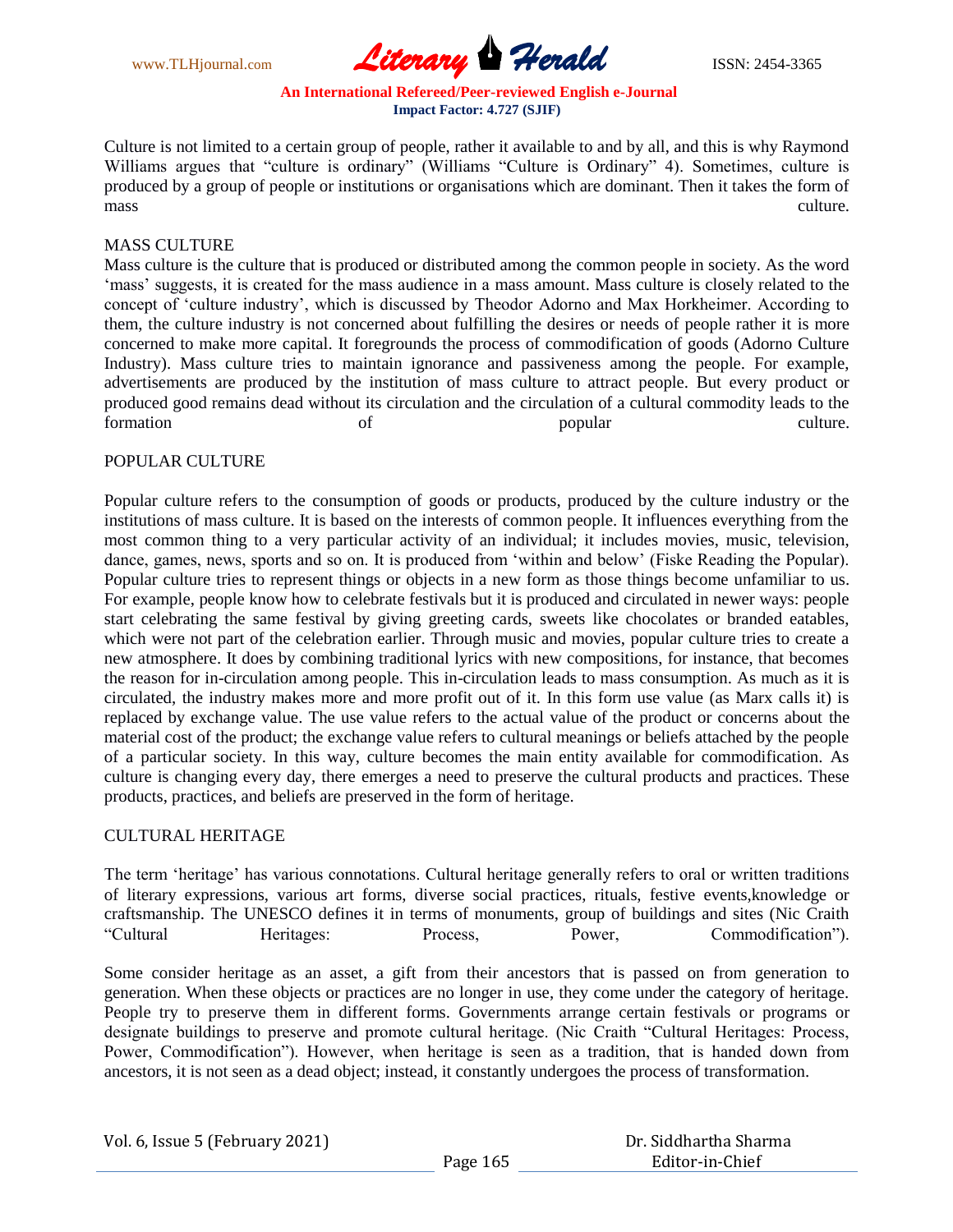

Culture is not limited to a certain group of people, rather it available to and by all, and this is why Raymond Williams argues that "culture is ordinary" (Williams "Culture is Ordinary" 4). Sometimes, culture is produced by a group of people or institutions or organisations which are dominant. Then it takes the form of mass culture.

#### MASS CULTURE

Mass culture is the culture that is produced or distributed among the common people in society. As the word ‗mass' suggests, it is created for the mass audience in a mass amount. Mass culture is closely related to the concept of ‗culture industry', which is discussed by Theodor Adorno and Max Horkheimer. According to them, the culture industry is not concerned about fulfilling the desires or needs of people rather it is more concerned to make more capital. It foregrounds the process of commodification of goods (Adorno Culture Industry). Mass culture tries to maintain ignorance and passiveness among the people. For example, advertisements are produced by the institution of mass culture to attract people. But every product or produced good remains dead without its circulation and the circulation of a cultural commodity leads to the formation of of popular culture.

### POPULAR CULTURE

Popular culture refers to the consumption of goods or products, produced by the culture industry or the institutions of mass culture. It is based on the interests of common people. It influences everything from the most common thing to a very particular activity of an individual; it includes movies, music, television, dance, games, news, sports and so on. It is produced from 'within and below' (Fiske Reading the Popular). Popular culture tries to represent things or objects in a new form as those things become unfamiliar to us. For example, people know how to celebrate festivals but it is produced and circulated in newer ways: people start celebrating the same festival by giving greeting cards, sweets like chocolates or branded eatables, which were not part of the celebration earlier. Through music and movies, popular culture tries to create a new atmosphere. It does by combining traditional lyrics with new compositions, for instance, that becomes the reason for in-circulation among people. This in-circulation leads to mass consumption. As much as it is circulated, the industry makes more and more profit out of it. In this form use value (as Marx calls it) is replaced by exchange value. The use value refers to the actual value of the product or concerns about the material cost of the product; the exchange value refers to cultural meanings or beliefs attached by the people of a particular society. In this way, culture becomes the main entity available for commodification. As culture is changing every day, there emerges a need to preserve the cultural products and practices. These products, practices, and beliefs are preserved in the form of heritage.

#### CULTURAL HERITAGE

The term 'heritage' has various connotations. Cultural heritage generally refers to oral or written traditions of literary expressions, various art forms, diverse social practices, rituals, festive events,knowledge or craftsmanship. The UNESCO defines it in terms of monuments, group of buildings and sites (Nic Craith ―Cultural Heritages: Process, Power, Commodification‖).

Some consider heritage as an asset, a gift from their ancestors that is passed on from generation to generation. When these objects or practices are no longer in use, they come under the category of heritage. People try to preserve them in different forms. Governments arrange certain festivals or programs or designate buildings to preserve and promote cultural heritage. (Nic Craith "Cultural Heritages: Process, Power, Commodification"). However, when heritage is seen as a tradition, that is handed down from ancestors, it is not seen as a dead object; instead, it constantly undergoes the process of transformation.

| Vol. 6, Issue 5 (February 2021) |          | Dr. Siddhartha Sharma |
|---------------------------------|----------|-----------------------|
|                                 | Page 165 | Editor-in-Chief       |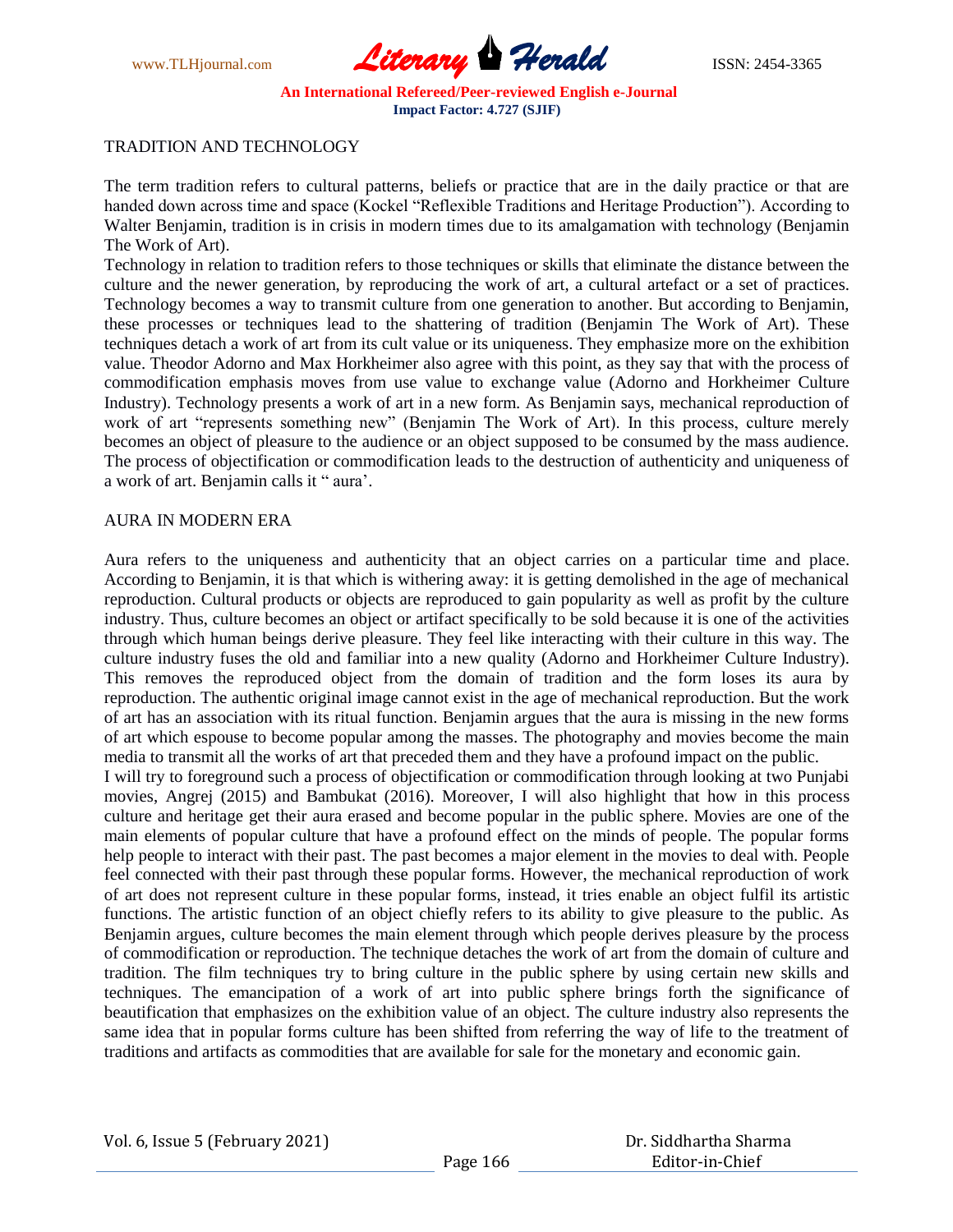

## TRADITION AND TECHNOLOGY

The term tradition refers to cultural patterns, beliefs or practice that are in the daily practice or that are handed down across time and space (Kockel "Reflexible Traditions and Heritage Production"). According to Walter Benjamin, tradition is in crisis in modern times due to its amalgamation with technology (Benjamin The Work of Art).

Technology in relation to tradition refers to those techniques or skills that eliminate the distance between the culture and the newer generation, by reproducing the work of art, a cultural artefact or a set of practices. Technology becomes a way to transmit culture from one generation to another. But according to Benjamin, these processes or techniques lead to the shattering of tradition (Benjamin The Work of Art). These techniques detach a work of art from its cult value or its uniqueness. They emphasize more on the exhibition value. Theodor Adorno and Max Horkheimer also agree with this point, as they say that with the process of commodification emphasis moves from use value to exchange value (Adorno and Horkheimer Culture Industry). Technology presents a work of art in a new form. As Benjamin says, mechanical reproduction of work of art "represents something new" (Benjamin The Work of Art). In this process, culture merely becomes an object of pleasure to the audience or an object supposed to be consumed by the mass audience. The process of objectification or commodification leads to the destruction of authenticity and uniqueness of a work of art. Benjamin calls it " aura'.

#### AURA IN MODERN ERA

Aura refers to the uniqueness and authenticity that an object carries on a particular time and place. According to Benjamin, it is that which is withering away: it is getting demolished in the age of mechanical reproduction. Cultural products or objects are reproduced to gain popularity as well as profit by the culture industry. Thus, culture becomes an object or artifact specifically to be sold because it is one of the activities through which human beings derive pleasure. They feel like interacting with their culture in this way. The culture industry fuses the old and familiar into a new quality (Adorno and Horkheimer Culture Industry). This removes the reproduced object from the domain of tradition and the form loses its aura by reproduction. The authentic original image cannot exist in the age of mechanical reproduction. But the work of art has an association with its ritual function. Benjamin argues that the aura is missing in the new forms of art which espouse to become popular among the masses. The photography and movies become the main media to transmit all the works of art that preceded them and they have a profound impact on the public.

I will try to foreground such a process of objectification or commodification through looking at two Punjabi movies, Angrej (2015) and Bambukat (2016). Moreover, I will also highlight that how in this process culture and heritage get their aura erased and become popular in the public sphere. Movies are one of the main elements of popular culture that have a profound effect on the minds of people. The popular forms help people to interact with their past. The past becomes a major element in the movies to deal with. People feel connected with their past through these popular forms. However, the mechanical reproduction of work of art does not represent culture in these popular forms, instead, it tries enable an object fulfil its artistic functions. The artistic function of an object chiefly refers to its ability to give pleasure to the public. As Benjamin argues, culture becomes the main element through which people derives pleasure by the process of commodification or reproduction. The technique detaches the work of art from the domain of culture and tradition. The film techniques try to bring culture in the public sphere by using certain new skills and techniques. The emancipation of a work of art into public sphere brings forth the significance of beautification that emphasizes on the exhibition value of an object. The culture industry also represents the same idea that in popular forms culture has been shifted from referring the way of life to the treatment of traditions and artifacts as commodities that are available for sale for the monetary and economic gain.

|  | Vol. 6, Issue 5 (February 2021) |  |
|--|---------------------------------|--|
|  |                                 |  |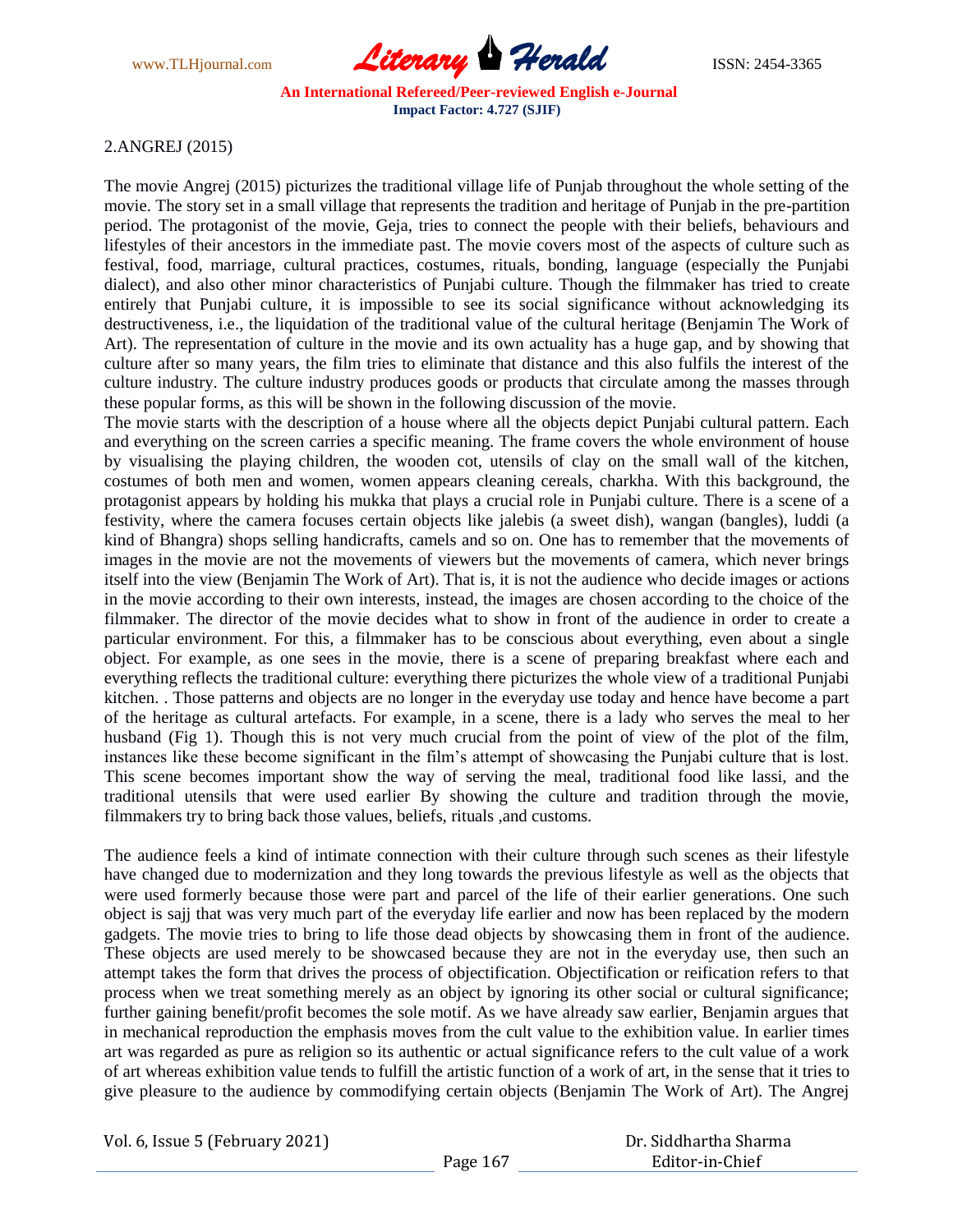

# 2.ANGREJ (2015)

The movie Angrej (2015) picturizes the traditional village life of Punjab throughout the whole setting of the movie. The story set in a small village that represents the tradition and heritage of Punjab in the pre-partition period. The protagonist of the movie, Geja, tries to connect the people with their beliefs, behaviours and lifestyles of their ancestors in the immediate past. The movie covers most of the aspects of culture such as festival, food, marriage, cultural practices, costumes, rituals, bonding, language (especially the Punjabi dialect), and also other minor characteristics of Punjabi culture. Though the filmmaker has tried to create entirely that Punjabi culture, it is impossible to see its social significance without acknowledging its destructiveness, i.e., the liquidation of the traditional value of the cultural heritage (Benjamin The Work of Art). The representation of culture in the movie and its own actuality has a huge gap, and by showing that culture after so many years, the film tries to eliminate that distance and this also fulfils the interest of the culture industry. The culture industry produces goods or products that circulate among the masses through these popular forms, as this will be shown in the following discussion of the movie.

The movie starts with the description of a house where all the objects depict Punjabi cultural pattern. Each and everything on the screen carries a specific meaning. The frame covers the whole environment of house by visualising the playing children, the wooden cot, utensils of clay on the small wall of the kitchen, costumes of both men and women, women appears cleaning cereals, charkha. With this background, the protagonist appears by holding his mukka that plays a crucial role in Punjabi culture. There is a scene of a festivity, where the camera focuses certain objects like jalebis (a sweet dish), wangan (bangles), luddi (a kind of Bhangra) shops selling handicrafts, camels and so on. One has to remember that the movements of images in the movie are not the movements of viewers but the movements of camera, which never brings itself into the view (Benjamin The Work of Art). That is, it is not the audience who decide images or actions in the movie according to their own interests, instead, the images are chosen according to the choice of the filmmaker. The director of the movie decides what to show in front of the audience in order to create a particular environment. For this, a filmmaker has to be conscious about everything, even about a single object. For example, as one sees in the movie, there is a scene of preparing breakfast where each and everything reflects the traditional culture: everything there picturizes the whole view of a traditional Punjabi kitchen. . Those patterns and objects are no longer in the everyday use today and hence have become a part of the heritage as cultural artefacts. For example, in a scene, there is a lady who serves the meal to her husband (Fig 1). Though this is not very much crucial from the point of view of the plot of the film, instances like these become significant in the film's attempt of showcasing the Punjabi culture that is lost. This scene becomes important show the way of serving the meal, traditional food like lassi, and the traditional utensils that were used earlier By showing the culture and tradition through the movie, filmmakers try to bring back those values, beliefs, rituals ,and customs.

The audience feels a kind of intimate connection with their culture through such scenes as their lifestyle have changed due to modernization and they long towards the previous lifestyle as well as the objects that were used formerly because those were part and parcel of the life of their earlier generations. One such object is sajj that was very much part of the everyday life earlier and now has been replaced by the modern gadgets. The movie tries to bring to life those dead objects by showcasing them in front of the audience. These objects are used merely to be showcased because they are not in the everyday use, then such an attempt takes the form that drives the process of objectification. Objectification or reification refers to that process when we treat something merely as an object by ignoring its other social or cultural significance; further gaining benefit/profit becomes the sole motif. As we have already saw earlier, Benjamin argues that in mechanical reproduction the emphasis moves from the cult value to the exhibition value. In earlier times art was regarded as pure as religion so its authentic or actual significance refers to the cult value of a work of art whereas exhibition value tends to fulfill the artistic function of a work of art, in the sense that it tries to give pleasure to the audience by commodifying certain objects (Benjamin The Work of Art). The Angrej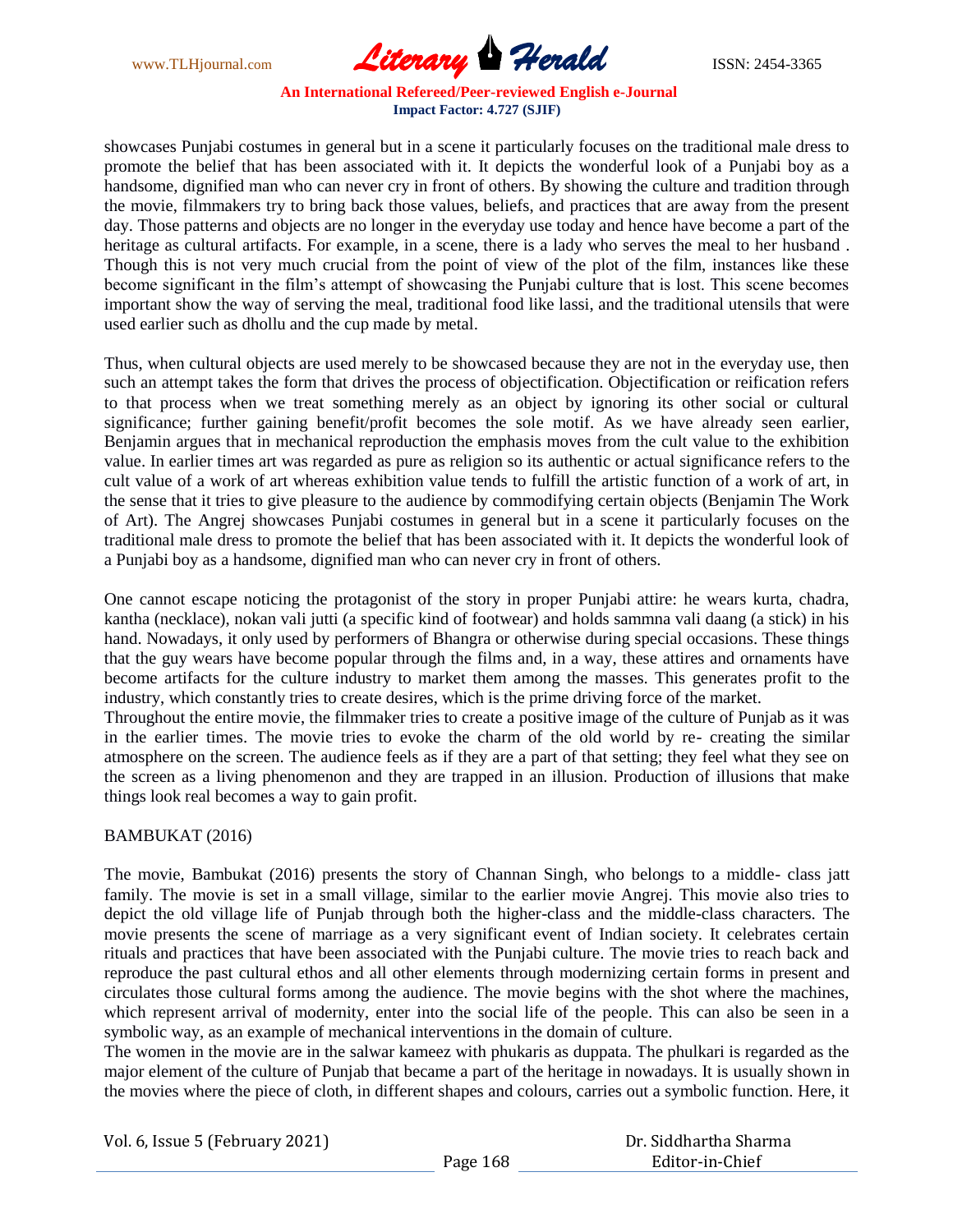

showcases Punjabi costumes in general but in a scene it particularly focuses on the traditional male dress to promote the belief that has been associated with it. It depicts the wonderful look of a Punjabi boy as a handsome, dignified man who can never cry in front of others. By showing the culture and tradition through the movie, filmmakers try to bring back those values, beliefs, and practices that are away from the present day. Those patterns and objects are no longer in the everyday use today and hence have become a part of the heritage as cultural artifacts. For example, in a scene, there is a lady who serves the meal to her husband . Though this is not very much crucial from the point of view of the plot of the film, instances like these become significant in the film's attempt of showcasing the Punjabi culture that is lost. This scene becomes important show the way of serving the meal, traditional food like lassi, and the traditional utensils that were used earlier such as dhollu and the cup made by metal.

Thus, when cultural objects are used merely to be showcased because they are not in the everyday use, then such an attempt takes the form that drives the process of objectification. Objectification or reification refers to that process when we treat something merely as an object by ignoring its other social or cultural significance; further gaining benefit/profit becomes the sole motif. As we have already seen earlier, Benjamin argues that in mechanical reproduction the emphasis moves from the cult value to the exhibition value. In earlier times art was regarded as pure as religion so its authentic or actual significance refers to the cult value of a work of art whereas exhibition value tends to fulfill the artistic function of a work of art, in the sense that it tries to give pleasure to the audience by commodifying certain objects (Benjamin The Work of Art). The Angrej showcases Punjabi costumes in general but in a scene it particularly focuses on the traditional male dress to promote the belief that has been associated with it. It depicts the wonderful look of a Punjabi boy as a handsome, dignified man who can never cry in front of others.

One cannot escape noticing the protagonist of the story in proper Punjabi attire: he wears kurta, chadra, kantha (necklace), nokan vali jutti (a specific kind of footwear) and holds sammna vali daang (a stick) in his hand. Nowadays, it only used by performers of Bhangra or otherwise during special occasions. These things that the guy wears have become popular through the films and, in a way, these attires and ornaments have become artifacts for the culture industry to market them among the masses. This generates profit to the industry, which constantly tries to create desires, which is the prime driving force of the market.

Throughout the entire movie, the filmmaker tries to create a positive image of the culture of Punjab as it was in the earlier times. The movie tries to evoke the charm of the old world by re- creating the similar atmosphere on the screen. The audience feels as if they are a part of that setting; they feel what they see on the screen as a living phenomenon and they are trapped in an illusion. Production of illusions that make things look real becomes a way to gain profit.

# BAMBUKAT (2016)

The movie, Bambukat (2016) presents the story of Channan Singh, who belongs to a middle- class jatt family. The movie is set in a small village, similar to the earlier movie Angrej. This movie also tries to depict the old village life of Punjab through both the higher-class and the middle-class characters. The movie presents the scene of marriage as a very significant event of Indian society. It celebrates certain rituals and practices that have been associated with the Punjabi culture. The movie tries to reach back and reproduce the past cultural ethos and all other elements through modernizing certain forms in present and circulates those cultural forms among the audience. The movie begins with the shot where the machines, which represent arrival of modernity, enter into the social life of the people. This can also be seen in a symbolic way, as an example of mechanical interventions in the domain of culture.

The women in the movie are in the salwar kameez with phukaris as duppata. The phulkari is regarded as the major element of the culture of Punjab that became a part of the heritage in nowadays. It is usually shown in the movies where the piece of cloth, in different shapes and colours, carries out a symbolic function. Here, it

| Vol. 6, Issue 5 (February 2021) |          | Dr. Siddhartha Sharma |
|---------------------------------|----------|-----------------------|
|                                 | Page 168 | Editor-in-Chief       |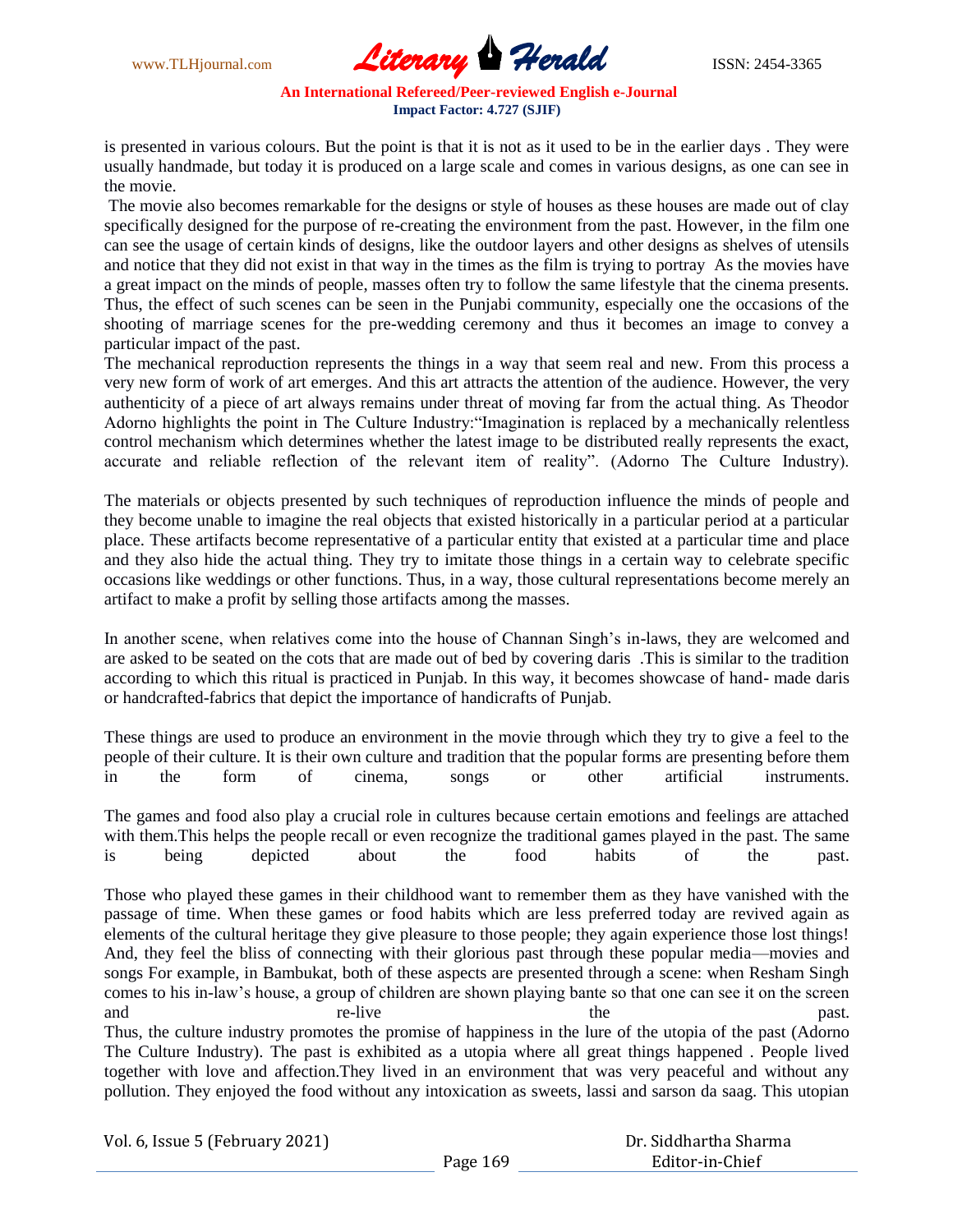

is presented in various colours. But the point is that it is not as it used to be in the earlier days . They were usually handmade, but today it is produced on a large scale and comes in various designs, as one can see in the movie.

The movie also becomes remarkable for the designs or style of houses as these houses are made out of clay specifically designed for the purpose of re-creating the environment from the past. However, in the film one can see the usage of certain kinds of designs, like the outdoor layers and other designs as shelves of utensils and notice that they did not exist in that way in the times as the film is trying to portray As the movies have a great impact on the minds of people, masses often try to follow the same lifestyle that the cinema presents. Thus, the effect of such scenes can be seen in the Punjabi community, especially one the occasions of the shooting of marriage scenes for the pre-wedding ceremony and thus it becomes an image to convey a particular impact of the past.

The mechanical reproduction represents the things in a way that seem real and new. From this process a very new form of work of art emerges. And this art attracts the attention of the audience. However, the very authenticity of a piece of art always remains under threat of moving far from the actual thing. As Theodor Adorno highlights the point in The Culture Industry: "Imagination is replaced by a mechanically relentless control mechanism which determines whether the latest image to be distributed really represents the exact, accurate and reliable reflection of the relevant item of reality". (Adorno The Culture Industry).

The materials or objects presented by such techniques of reproduction influence the minds of people and they become unable to imagine the real objects that existed historically in a particular period at a particular place. These artifacts become representative of a particular entity that existed at a particular time and place and they also hide the actual thing. They try to imitate those things in a certain way to celebrate specific occasions like weddings or other functions. Thus, in a way, those cultural representations become merely an artifact to make a profit by selling those artifacts among the masses.

In another scene, when relatives come into the house of Channan Singh's in-laws, they are welcomed and are asked to be seated on the cots that are made out of bed by covering daris .This is similar to the tradition according to which this ritual is practiced in Punjab. In this way, it becomes showcase of hand- made daris or handcrafted-fabrics that depict the importance of handicrafts of Punjab.

These things are used to produce an environment in the movie through which they try to give a feel to the people of their culture. It is their own culture and tradition that the popular forms are presenting before them in the form of cinema, songs or other artificial instruments.

The games and food also play a crucial role in cultures because certain emotions and feelings are attached with them.This helps the people recall or even recognize the traditional games played in the past. The same is being depicted about the food habits of the past.

Those who played these games in their childhood want to remember them as they have vanished with the passage of time. When these games or food habits which are less preferred today are revived again as elements of the cultural heritage they give pleasure to those people; they again experience those lost things! And, they feel the bliss of connecting with their glorious past through these popular media—movies and songs For example, in Bambukat, both of these aspects are presented through a scene: when Resham Singh comes to his in-law's house, a group of children are shown playing bante so that one can see it on the screen and re-live the past. Thus, the culture industry promotes the promise of happiness in the lure of the utopia of the past (Adorno The Culture Industry). The past is exhibited as a utopia where all great things happened . People lived together with love and affection.They lived in an environment that was very peaceful and without any pollution. They enjoyed the food without any intoxication as sweets, lassi and sarson da saag. This utopian

| Vol. 6, Issue 5 (February 2021) |          | Dr. Siddhartha Sharma |  |
|---------------------------------|----------|-----------------------|--|
|                                 | Page 169 | Editor-in-Chief       |  |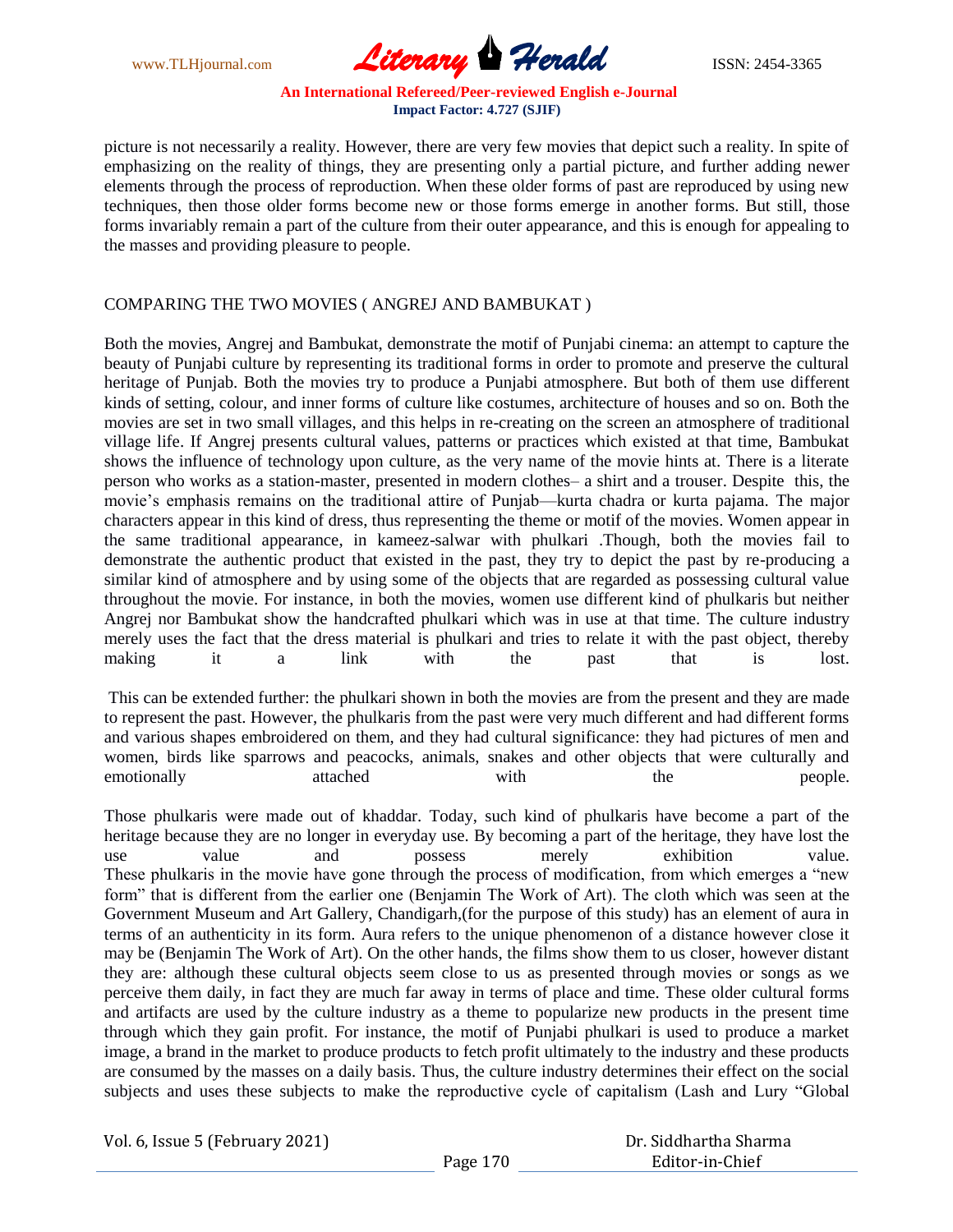

picture is not necessarily a reality. However, there are very few movies that depict such a reality. In spite of emphasizing on the reality of things, they are presenting only a partial picture, and further adding newer elements through the process of reproduction. When these older forms of past are reproduced by using new techniques, then those older forms become new or those forms emerge in another forms. But still, those forms invariably remain a part of the culture from their outer appearance, and this is enough for appealing to the masses and providing pleasure to people.

# COMPARING THE TWO MOVIES ( ANGREJ AND BAMBUKAT )

Both the movies, Angrej and Bambukat, demonstrate the motif of Punjabi cinema: an attempt to capture the beauty of Punjabi culture by representing its traditional forms in order to promote and preserve the cultural heritage of Punjab. Both the movies try to produce a Punjabi atmosphere. But both of them use different kinds of setting, colour, and inner forms of culture like costumes, architecture of houses and so on. Both the movies are set in two small villages, and this helps in re-creating on the screen an atmosphere of traditional village life. If Angrej presents cultural values, patterns or practices which existed at that time, Bambukat shows the influence of technology upon culture, as the very name of the movie hints at. There is a literate person who works as a station-master, presented in modern clothes– a shirt and a trouser. Despite this, the movie's emphasis remains on the traditional attire of Punjab—kurta chadra or kurta pajama. The major characters appear in this kind of dress, thus representing the theme or motif of the movies. Women appear in the same traditional appearance, in kameez-salwar with phulkari .Though, both the movies fail to demonstrate the authentic product that existed in the past, they try to depict the past by re-producing a similar kind of atmosphere and by using some of the objects that are regarded as possessing cultural value throughout the movie. For instance, in both the movies, women use different kind of phulkaris but neither Angrej nor Bambukat show the handcrafted phulkari which was in use at that time. The culture industry merely uses the fact that the dress material is phulkari and tries to relate it with the past object, thereby making it a link with the past that is lost.

This can be extended further: the phulkari shown in both the movies are from the present and they are made to represent the past. However, the phulkaris from the past were very much different and had different forms and various shapes embroidered on them, and they had cultural significance: they had pictures of men and women, birds like sparrows and peacocks, animals, snakes and other objects that were culturally and emotionally attached with the people.

Those phulkaris were made out of khaddar. Today, such kind of phulkaris have become a part of the heritage because they are no longer in everyday use. By becoming a part of the heritage, they have lost the use value and possess merely exhibition value. These phulkaris in the movie have gone through the process of modification, from which emerges a "new" form" that is different from the earlier one (Benjamin The Work of Art). The cloth which was seen at the Government Museum and Art Gallery, Chandigarh,(for the purpose of this study) has an element of aura in terms of an authenticity in its form. Aura refers to the unique phenomenon of a distance however close it may be (Benjamin The Work of Art). On the other hands, the films show them to us closer, however distant they are: although these cultural objects seem close to us as presented through movies or songs as we perceive them daily, in fact they are much far away in terms of place and time. These older cultural forms and artifacts are used by the culture industry as a theme to popularize new products in the present time through which they gain profit. For instance, the motif of Punjabi phulkari is used to produce a market image, a brand in the market to produce products to fetch profit ultimately to the industry and these products are consumed by the masses on a daily basis. Thus, the culture industry determines their effect on the social subjects and uses these subjects to make the reproductive cycle of capitalism (Lash and Lury "Global

| Vol. 6, Issue 5 (February 2021) |          | Dr. Siddhartha Sharma |  |
|---------------------------------|----------|-----------------------|--|
|                                 | Page 170 | Editor-in-Chief       |  |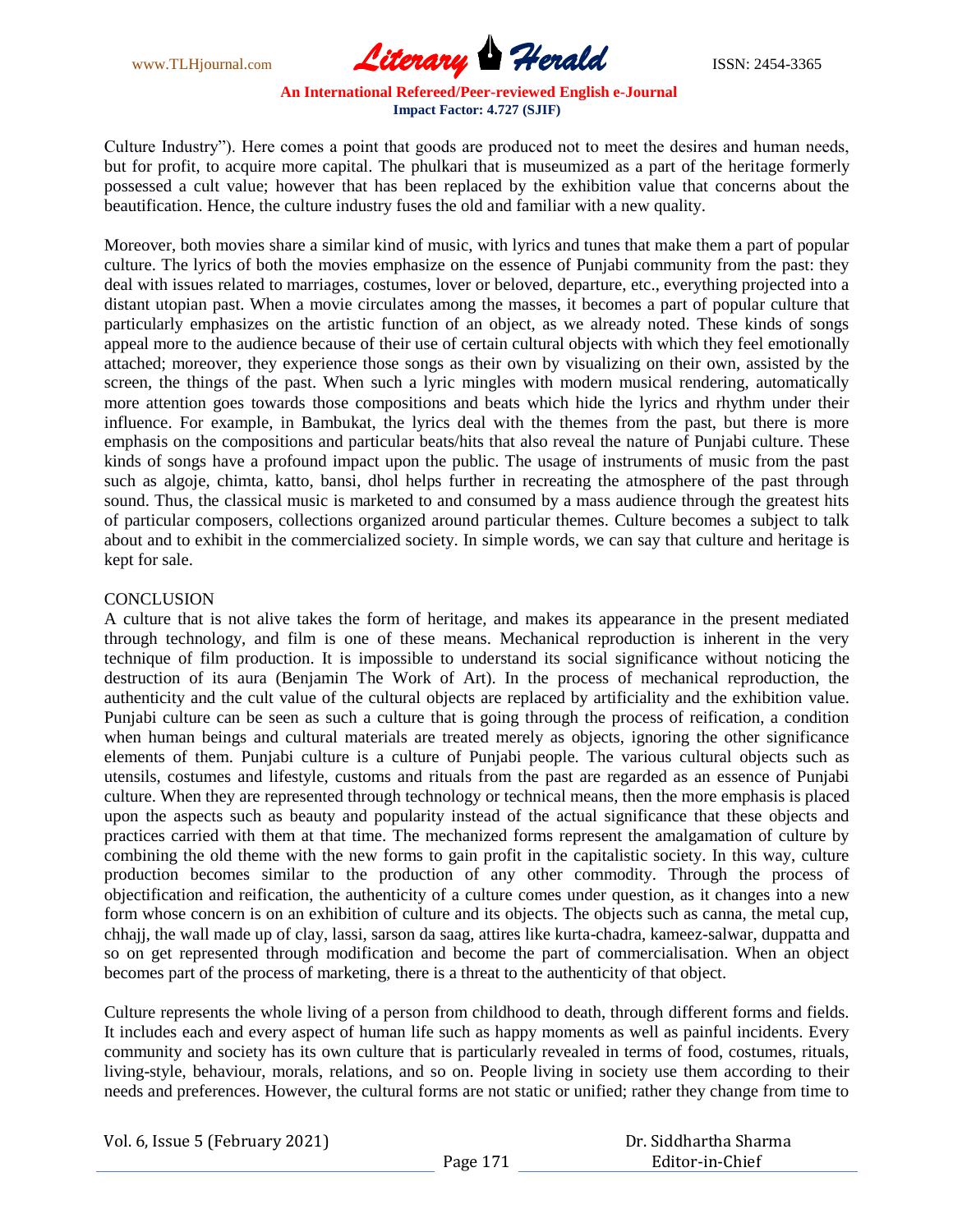

Culture Industry"). Here comes a point that goods are produced not to meet the desires and human needs, but for profit, to acquire more capital. The phulkari that is museumized as a part of the heritage formerly possessed a cult value; however that has been replaced by the exhibition value that concerns about the beautification. Hence, the culture industry fuses the old and familiar with a new quality.

Moreover, both movies share a similar kind of music, with lyrics and tunes that make them a part of popular culture. The lyrics of both the movies emphasize on the essence of Punjabi community from the past: they deal with issues related to marriages, costumes, lover or beloved, departure, etc., everything projected into a distant utopian past. When a movie circulates among the masses, it becomes a part of popular culture that particularly emphasizes on the artistic function of an object, as we already noted. These kinds of songs appeal more to the audience because of their use of certain cultural objects with which they feel emotionally attached; moreover, they experience those songs as their own by visualizing on their own, assisted by the screen, the things of the past. When such a lyric mingles with modern musical rendering, automatically more attention goes towards those compositions and beats which hide the lyrics and rhythm under their influence. For example, in Bambukat, the lyrics deal with the themes from the past, but there is more emphasis on the compositions and particular beats/hits that also reveal the nature of Punjabi culture. These kinds of songs have a profound impact upon the public. The usage of instruments of music from the past such as algoje, chimta, katto, bansi, dhol helps further in recreating the atmosphere of the past through sound. Thus, the classical music is marketed to and consumed by a mass audience through the greatest hits of particular composers, collections organized around particular themes. Culture becomes a subject to talk about and to exhibit in the commercialized society. In simple words, we can say that culture and heritage is kept for sale.

#### **CONCLUSION**

A culture that is not alive takes the form of heritage, and makes its appearance in the present mediated through technology, and film is one of these means. Mechanical reproduction is inherent in the very technique of film production. It is impossible to understand its social significance without noticing the destruction of its aura (Benjamin The Work of Art). In the process of mechanical reproduction, the authenticity and the cult value of the cultural objects are replaced by artificiality and the exhibition value. Punjabi culture can be seen as such a culture that is going through the process of reification, a condition when human beings and cultural materials are treated merely as objects, ignoring the other significance elements of them. Punjabi culture is a culture of Punjabi people. The various cultural objects such as utensils, costumes and lifestyle, customs and rituals from the past are regarded as an essence of Punjabi culture. When they are represented through technology or technical means, then the more emphasis is placed upon the aspects such as beauty and popularity instead of the actual significance that these objects and practices carried with them at that time. The mechanized forms represent the amalgamation of culture by combining the old theme with the new forms to gain profit in the capitalistic society. In this way, culture production becomes similar to the production of any other commodity. Through the process of objectification and reification, the authenticity of a culture comes under question, as it changes into a new form whose concern is on an exhibition of culture and its objects. The objects such as canna, the metal cup, chhajj, the wall made up of clay, lassi, sarson da saag, attires like kurta-chadra, kameez-salwar, duppatta and so on get represented through modification and become the part of commercialisation. When an object becomes part of the process of marketing, there is a threat to the authenticity of that object.

Culture represents the whole living of a person from childhood to death, through different forms and fields. It includes each and every aspect of human life such as happy moments as well as painful incidents. Every community and society has its own culture that is particularly revealed in terms of food, costumes, rituals, living-style, behaviour, morals, relations, and so on. People living in society use them according to their needs and preferences. However, the cultural forms are not static or unified; rather they change from time to

| Vol. 6, Issue 5 (February 2021) |          | Dr. Siddhartha Sharma |
|---------------------------------|----------|-----------------------|
|                                 | Page 171 | Editor-in-Chief       |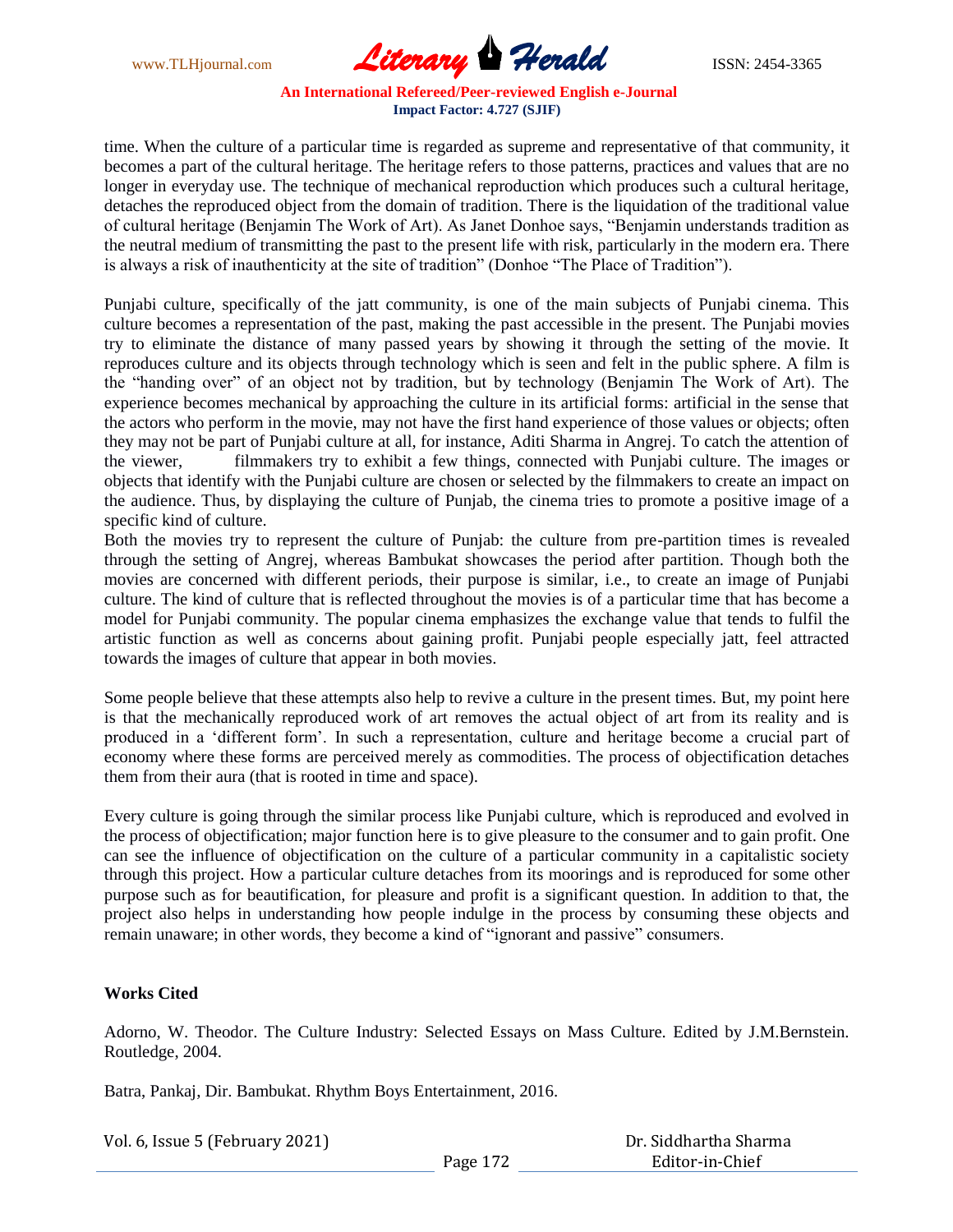

time. When the culture of a particular time is regarded as supreme and representative of that community, it becomes a part of the cultural heritage. The heritage refers to those patterns, practices and values that are no longer in everyday use. The technique of mechanical reproduction which produces such a cultural heritage, detaches the reproduced object from the domain of tradition. There is the liquidation of the traditional value of cultural heritage (Benjamin The Work of Art). As Janet Donhoe says, "Benjamin understands tradition as the neutral medium of transmitting the past to the present life with risk, particularly in the modern era. There is always a risk of inauthenticity at the site of tradition" (Donhoe "The Place of Tradition").

Punjabi culture, specifically of the jatt community, is one of the main subjects of Punjabi cinema. This culture becomes a representation of the past, making the past accessible in the present. The Punjabi movies try to eliminate the distance of many passed years by showing it through the setting of the movie. It reproduces culture and its objects through technology which is seen and felt in the public sphere. A film is the "handing over" of an object not by tradition, but by technology (Benjamin The Work of Art). The experience becomes mechanical by approaching the culture in its artificial forms: artificial in the sense that the actors who perform in the movie, may not have the first hand experience of those values or objects; often they may not be part of Punjabi culture at all, for instance, Aditi Sharma in Angrej. To catch the attention of the viewer, filmmakers try to exhibit a few things, connected with Punjabi culture. The images or objects that identify with the Punjabi culture are chosen or selected by the filmmakers to create an impact on the audience. Thus, by displaying the culture of Punjab, the cinema tries to promote a positive image of a specific kind of culture.

Both the movies try to represent the culture of Punjab: the culture from pre-partition times is revealed through the setting of Angrej, whereas Bambukat showcases the period after partition. Though both the movies are concerned with different periods, their purpose is similar, i.e., to create an image of Punjabi culture. The kind of culture that is reflected throughout the movies is of a particular time that has become a model for Punjabi community. The popular cinema emphasizes the exchange value that tends to fulfil the artistic function as well as concerns about gaining profit. Punjabi people especially jatt, feel attracted towards the images of culture that appear in both movies.

Some people believe that these attempts also help to revive a culture in the present times. But, my point here is that the mechanically reproduced work of art removes the actual object of art from its reality and is produced in a ‗different form'. In such a representation, culture and heritage become a crucial part of economy where these forms are perceived merely as commodities. The process of objectification detaches them from their aura (that is rooted in time and space).

Every culture is going through the similar process like Punjabi culture, which is reproduced and evolved in the process of objectification; major function here is to give pleasure to the consumer and to gain profit. One can see the influence of objectification on the culture of a particular community in a capitalistic society through this project. How a particular culture detaches from its moorings and is reproduced for some other purpose such as for beautification, for pleasure and profit is a significant question. In addition to that, the project also helps in understanding how people indulge in the process by consuming these objects and remain unaware; in other words, they become a kind of "ignorant and passive" consumers.

# **Works Cited**

Adorno, W. Theodor. The Culture Industry: Selected Essays on Mass Culture. Edited by J.M.Bernstein. Routledge, 2004.

Batra, Pankaj, Dir. Bambukat. Rhythm Boys Entertainment, 2016.

| Vol. 6, Issue 5 (February 2021) |          | Dr. Siddhartha Sharma |
|---------------------------------|----------|-----------------------|
|                                 | Page 172 | Editor-in-Chief       |